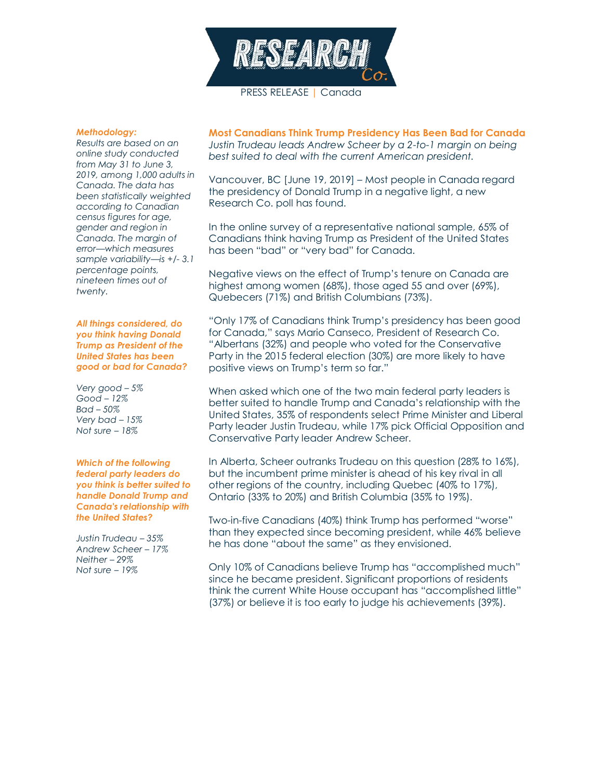

PRESS RELEASE | Canada

## *Methodology:*

*Results are based on an online study conducted from May 31 to June 3, 2019, among 1,000 adults in Canada. The data has been statistically weighted according to Canadian census figures for age, gender and region in Canada. The margin of error—which measures sample variability—is +/- 3.1 percentage points, nineteen times out of twenty.*

*All things considered, do you think having Donald Trump as President of the United States has been good or bad for Canada?*

*Very good – 5% Good – 12% Bad – 50% Very bad – 15% Not sure – 18%*

*Which of the following federal party leaders do you think is better suited to handle Donald Trump and Canada's relationship with the United States?*

*Justin Trudeau – 35% Andrew Scheer – 17% Neither – 29% Not sure – 19%*

**Most Canadians Think Trump Presidency Has Been Bad for Canada** *Justin Trudeau leads Andrew Scheer by a 2-to-1 margin on being best suited to deal with the current American president.*

Vancouver, BC [June 19, 2019] – Most people in Canada regard the presidency of Donald Trump in a negative light, a new Research Co. poll has found.

In the online survey of a representative national sample, 65% of Canadians think having Trump as President of the United States has been "bad" or "very bad" for Canada.

Negative views on the effect of Trump's tenure on Canada are highest among women (68%), those aged 55 and over (69%), Quebecers (71%) and British Columbians (73%).

"Only 17% of Canadians think Trump's presidency has been good for Canada," says Mario Canseco, President of Research Co. "Albertans (32%) and people who voted for the Conservative Party in the 2015 federal election (30%) are more likely to have positive views on Trump's term so far."

When asked which one of the two main federal party leaders is better suited to handle Trump and Canada's relationship with the United States, 35% of respondents select Prime Minister and Liberal Party leader Justin Trudeau, while 17% pick Official Opposition and Conservative Party leader Andrew Scheer.

In Alberta, Scheer outranks Trudeau on this question (28% to 16%), but the incumbent prime minister is ahead of his key rival in all other regions of the country, including Quebec (40% to 17%), Ontario (33% to 20%) and British Columbia (35% to 19%).

Two-in-five Canadians (40%) think Trump has performed "worse" than they expected since becoming president, while 46% believe he has done "about the same" as they envisioned.

Only 10% of Canadians believe Trump has "accomplished much" since he became president. Significant proportions of residents think the current White House occupant has "accomplished little" (37%) or believe it is too early to judge his achievements (39%).